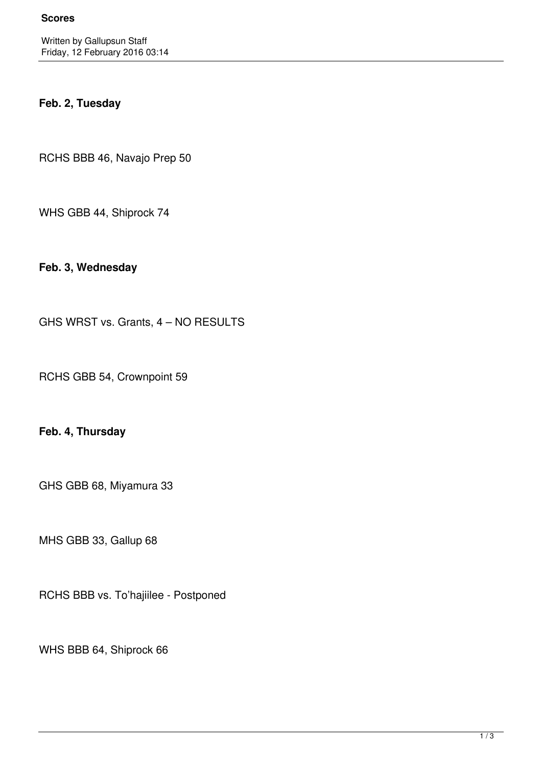# **Feb. 2, Tuesday**

RCHS BBB 46, Navajo Prep 50

WHS GBB 44, Shiprock 74

**Feb. 3, Wednesday**

GHS WRST vs. Grants, 4 – NO RESULTS

RCHS GBB 54, Crownpoint 59

# **Feb. 4, Thursday**

GHS GBB 68, Miyamura 33

MHS GBB 33, Gallup 68

RCHS BBB vs. To'hajiilee - Postponed

WHS BBB 64, Shiprock 66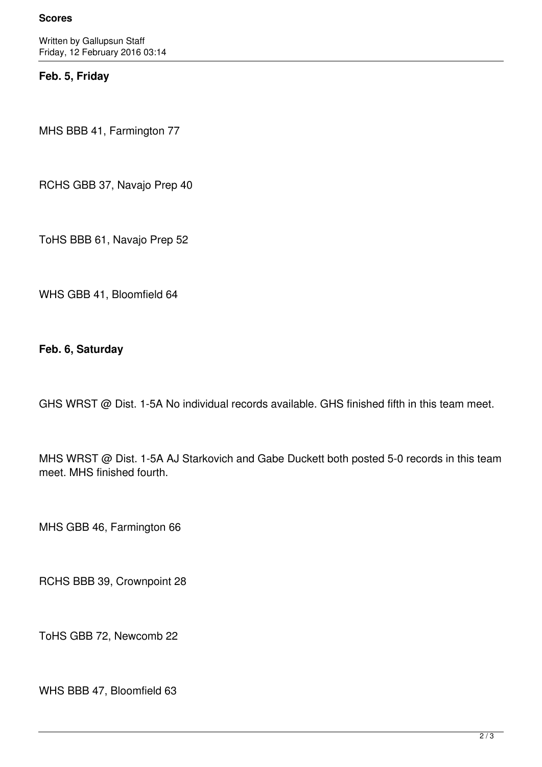#### **Scores**

Written by Gallupsun Staff Friday, 12 February 2016 03:14

### **Feb. 5, Friday**

MHS BBB 41, Farmington 77

RCHS GBB 37, Navajo Prep 40

ToHS BBB 61, Navajo Prep 52

WHS GBB 41, Bloomfield 64

**Feb. 6, Saturday**

GHS WRST @ Dist. 1-5A No individual records available. GHS finished fifth in this team meet.

MHS WRST @ Dist. 1-5A AJ Starkovich and Gabe Duckett both posted 5-0 records in this team meet. MHS finished fourth.

MHS GBB 46, Farmington 66

RCHS BBB 39, Crownpoint 28

ToHS GBB 72, Newcomb 22

WHS BBB 47, Bloomfield 63